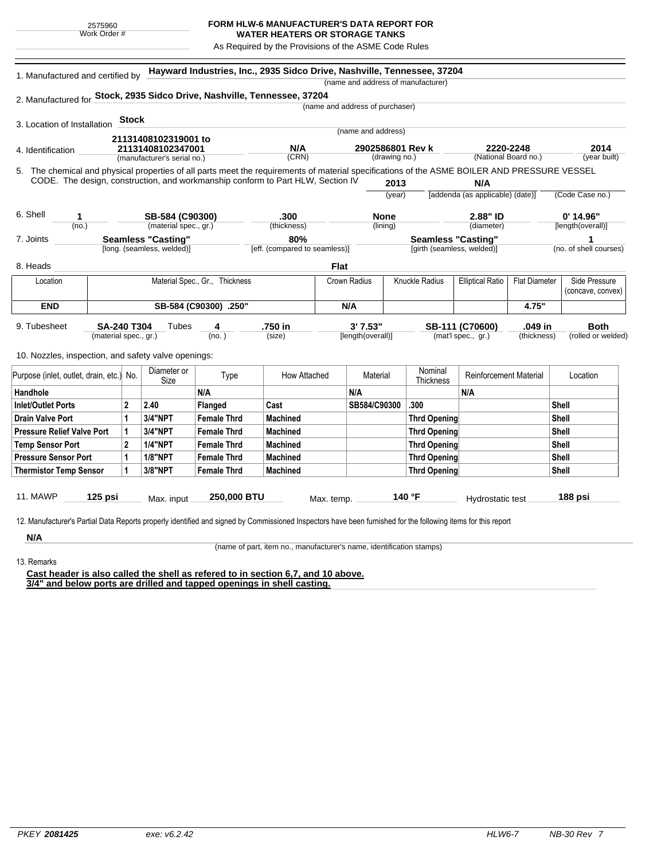## **FORM HLW-6 MANUFACTURER'S DATA REPORT FOR**

**WATER HEATERS OR STORAGE TANKS** As Required by the Provisions of the ASME Code Rules

| 1. Manufactured and certified by                                                                                                             |                                           |                             |                            |                                | Hayward Industries, Inc., 2935 Sidco Drive, Nashville, Tennessee, 37204         |                                 |                                   | (name and address of manufacturer) |                                                 |             |                                  |
|----------------------------------------------------------------------------------------------------------------------------------------------|-------------------------------------------|-----------------------------|----------------------------|--------------------------------|---------------------------------------------------------------------------------|---------------------------------|-----------------------------------|------------------------------------|-------------------------------------------------|-------------|----------------------------------|
| 2. Manufactured for Stock, 2935 Sidco Drive, Nashville, Tennessee, 37204                                                                     |                                           |                             |                            |                                |                                                                                 |                                 |                                   |                                    |                                                 |             |                                  |
|                                                                                                                                              |                                           |                             |                            |                                |                                                                                 | (name and address of purchaser) |                                   |                                    |                                                 |             |                                  |
|                                                                                                                                              |                                           | <b>Stock</b>                |                            |                                |                                                                                 |                                 |                                   |                                    |                                                 |             |                                  |
| 3. Location of Installation                                                                                                                  |                                           |                             |                            |                                |                                                                                 |                                 | (name and address)                |                                    |                                                 |             |                                  |
|                                                                                                                                              | 21131408102319001 to<br>21131408102347001 |                             |                            |                                | N/A                                                                             |                                 |                                   |                                    | 2220-2248<br>(National Board no.)               |             | 2014                             |
| 4. Identification                                                                                                                            |                                           | (manufacturer's serial no.) |                            |                                | (CRN)                                                                           |                                 | 2902586801 Rev k<br>(drawing no.) |                                    |                                                 |             | (year built)                     |
| 5. The chemical and physical properties of all parts meet the requirements of material specifications of the ASME BOILER AND PRESSURE VESSEL |                                           |                             |                            |                                |                                                                                 |                                 |                                   |                                    |                                                 |             |                                  |
|                                                                                                                                              |                                           |                             |                            |                                | CODE. The design, construction, and workmanship conform to Part HLW, Section IV |                                 | 2013                              |                                    | N/A                                             |             |                                  |
|                                                                                                                                              |                                           |                             |                            |                                |                                                                                 |                                 | (year)                            |                                    | [addenda (as applicable) (date)]                |             | (Code Case no.)                  |
| 6. Shell                                                                                                                                     |                                           |                             | SB-584 (C90300)            |                                |                                                                                 |                                 |                                   |                                    |                                                 |             |                                  |
| 1<br>(no.)                                                                                                                                   |                                           |                             | (material spec., gr.)      |                                | .300<br>(thickness)                                                             | <b>None</b><br>(lining)         |                                   |                                    | 2.88" ID<br>(diameter)                          |             | $0'$ 14.96"<br>[length(overall)] |
| 7. Joints                                                                                                                                    |                                           | <b>Seamless "Casting"</b>   |                            | 80%                            |                                                                                 |                                 | Seamless "Casting"                |                                    |                                                 | 1           |                                  |
|                                                                                                                                              |                                           |                             | [long. (seamless, welded)] |                                | [eff. (compared to seamless)]                                                   |                                 |                                   | [girth (seamless, welded)]         |                                                 |             | (no. of shell courses)           |
| 8. Heads                                                                                                                                     |                                           |                             |                            |                                |                                                                                 | <b>Flat</b>                     |                                   |                                    |                                                 |             |                                  |
| Location                                                                                                                                     |                                           |                             |                            | Material Spec., Gr., Thickness |                                                                                 | Crown Radius                    |                                   | Knuckle Radius                     | <b>Elliptical Ratio</b><br><b>Flat Diameter</b> |             | Side Pressure                    |
|                                                                                                                                              |                                           |                             |                            |                                |                                                                                 |                                 |                                   |                                    |                                                 |             | (concave, convex)                |
| <b>END</b>                                                                                                                                   |                                           |                             |                            | SB-584 (C90300) .250"          | N/A                                                                             |                                 |                                   | 4.75"                              |                                                 |             |                                  |
| 9. Tubesheet                                                                                                                                 | SA-240 T304                               |                             | Tubes                      | 4                              | .750 in                                                                         | 3' 7.53"                        |                                   |                                    | SB-111 (C70600)                                 | .049 in     | <b>Both</b>                      |
|                                                                                                                                              | (material spec., gr.)                     |                             |                            | (no. )                         | (size)                                                                          | [length(overall)]               |                                   |                                    | (mat'l spec., gr.)                              | (thickness) | (rolled or welded)               |
|                                                                                                                                              |                                           |                             |                            |                                |                                                                                 |                                 |                                   |                                    |                                                 |             |                                  |
| 10. Nozzles, inspection, and safety valve openings:                                                                                          |                                           |                             |                            |                                |                                                                                 |                                 |                                   |                                    |                                                 |             |                                  |
| Purpose (inlet, outlet, drain, etc.) No.                                                                                                     |                                           |                             | Diameter or<br>Size        | Type                           | How Attached                                                                    |                                 | Material                          | Nominal<br>Thickness               | <b>Reinforcement Material</b>                   |             | Location                         |
| Handhole                                                                                                                                     |                                           |                             |                            | N/A                            |                                                                                 | N/A                             |                                   |                                    | N/A                                             |             |                                  |
| <b>Inlet/Outlet Ports</b>                                                                                                                    |                                           | $\mathbf{2}$                | 2.40                       | Flanged                        | Cast                                                                            |                                 | SB584/C90300                      | .300                               |                                                 |             | Shell                            |
| <b>Drain Valve Port</b>                                                                                                                      |                                           | 1                           | 3/4"NPT                    | <b>Female Thrd</b>             | <b>Machined</b>                                                                 |                                 |                                   | <b>Thrd Opening</b>                |                                                 |             | <b>Shell</b>                     |
| <b>Pressure Relief Valve Port</b>                                                                                                            |                                           | 1                           | <b>3/4"NPT</b>             | <b>Female Thrd</b>             | <b>Machined</b>                                                                 |                                 |                                   | <b>Thrd Opening</b>                |                                                 |             | <b>Shell</b>                     |
| <b>Temp Sensor Port</b>                                                                                                                      |                                           | $\mathbf{2}$                | <b>1/4"NPT</b>             | <b>Female Thrd</b>             | <b>Machined</b>                                                                 |                                 |                                   | <b>Thrd Opening</b>                |                                                 |             | Shell                            |
| <b>Pressure Sensor Port</b>                                                                                                                  |                                           | 1                           | <b>1/8"NPT</b>             | <b>Female Thrd</b>             | <b>Machined</b>                                                                 |                                 |                                   | <b>Thrd Opening</b>                |                                                 |             | Shell                            |
| <b>Thermistor Temp Sensor</b>                                                                                                                |                                           | 1                           | 3/8"NPT                    | <b>Female Thrd</b>             | <b>Machined</b>                                                                 |                                 |                                   | <b>Thrd Opening</b>                |                                                 |             | <b>Shell</b>                     |
|                                                                                                                                              |                                           |                             |                            |                                |                                                                                 |                                 |                                   |                                    |                                                 |             |                                  |
|                                                                                                                                              |                                           |                             |                            |                                |                                                                                 |                                 |                                   |                                    |                                                 |             |                                  |

13. Remarks

**N/A**

(name of part, item no., manufacturer's name, identification stamps)

**Cast header is also called the shell as refered to in section 6,7, and 10 above. 3/4" and below ports are drilled and tapped openings in shell casting.**